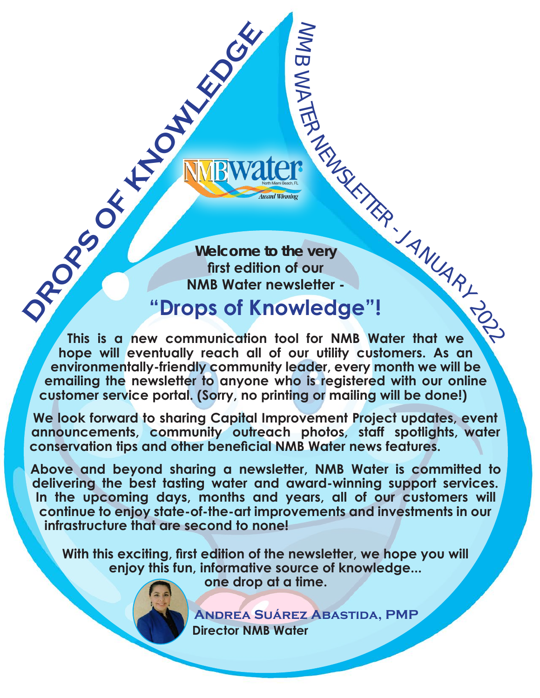**Welcome to the very first edition of our NMB Water newsletter - DROPS OF KINDER** 

 $\geq$ M  $\overline{\mathbf{C}}$ 

WA

TER

NEWSLETTER

## **"Drops of Knowledge"!**

JANUARY 2022 **This is a new communication tool for NMB Water that we hope will eventually reach all of our utility customers. As an environmentally-friendly community leader, every month we will be emailing the newsletter to anyone who is registered with our online customer service portal. (Sorry, no printing or mailing will be done!)**

**We look forward to sharing Capital Improvement Project updates, event announcements, community outreach photos, staff spotlights, water conservation tips and other beneficial NMB Water news features.** 

**Above and beyond sharing a newsletter, NMB Water is committed to delivering the best tasting water and award-winning support services. In the upcoming days, months and years, all of our customers will continue to enjoy state-of-the-art improvements and investments in our infrastructure that are second to none!**

**With this exciting, first edition of the newsletter, we hope you will enjoy this fun, informative source of knowledge...**

**one drop at a time.** 

 **Andrea Suárez Abastida, PMP Director NMB Water**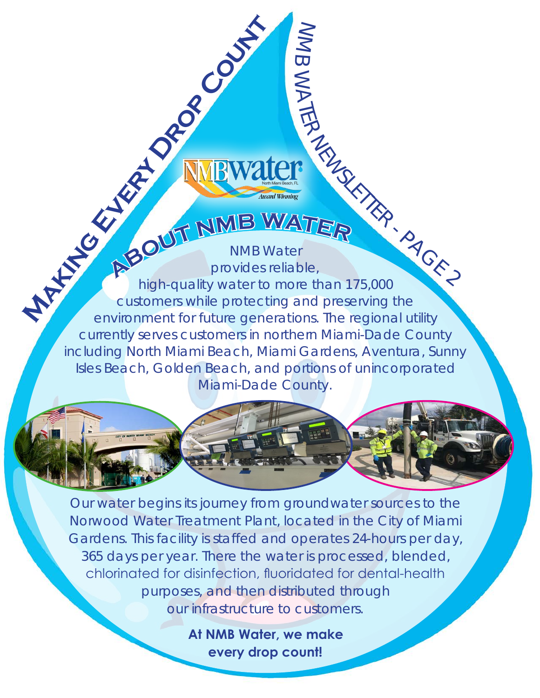- PAGE 2 NMB Water **A**<br>**A**<br>**BOUT**<br>**MMB**<br>**WATER**<br>provides reliable, high-quality water to more than 175,000 customers while protecting and preserving the environment for future generations. The regional utility currently serves customers in northern Miami-Dade County including North Miami Beach, Miami Gardens, Aventura, Sunny Isles Beach, Golden Beach, and portions of unincorporated Miami-Dade County. **Marking Every Drop County** 

 $\geq$ M  $\overline{\mathbf{C}}$ 

WA

TER

NEWSLETTER

Our water begins its journey from groundwater sources to the Norwood Water Treatment Plant, located in the City of Miami Gardens. This facility is staffed and operates 24-hours per day, 365 days per year. There the water is processed, blended, chlorinated for disinfection, fluoridated for dental-health purposes, and then distributed through our infrastructure to customers.

> **At NMB Water, we make every drop count!**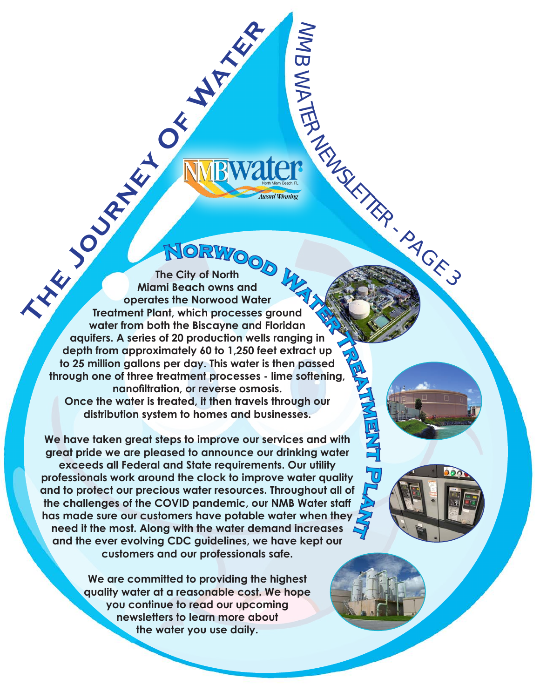**The City of North Might Development Plant, which processes The City of North Miami Beach owns and operates the Norwood Water Treatment Plant, which processes ground water from both the Biscayne and Floridan aquifers. A series of 20 production wells ranging in depth from approximately 60 to 1,250 feet extract up to 25 million gallons per day. This water is then passed through one of three treatment processes - lime softening, nanofiltration, or reverse osmosis. Once the water is treated, it then travels through our distribution system to homes and businesses. NORWOOD <br>
<b>round**<br>
oridan **B**<br>**Tr**<br>**E**<br>**E**<br> **E**<br> **E**<br> **E**<br> **E** er<br>
er<br>
siground<br>
Ils ranging in<br>
eet extract up<br>
is then passed<br>
- lime softening,<br>
osis.<br>
Is through our

 $\geq$ M  $\overline{\mathbf{C}}$ 

WA

TER

NEWSLETTER

**e nt**

 $\overline{\mathbf{E}}$ 

- PAGE 3

**We have taken great steps to improve our services and with great pride we are pleased to announce our drinking water exceeds all Federal and State requirements. Our utility professionals work around the clock to improve water quality and to protect our precious water resources. Throughout all of the challenges of the COVID pandemic, our NMB Water staff has made sure our customers have potable water when they need it the most. Along with the water demand increases and the ever evolving CDC guidelines, we have kept our customers and our professionals safe. lant**

> **We are committed to providing the highest quality water at a reasonable cost. We hope you continue to read our upcoming newsletters to learn more about the water you use daily.**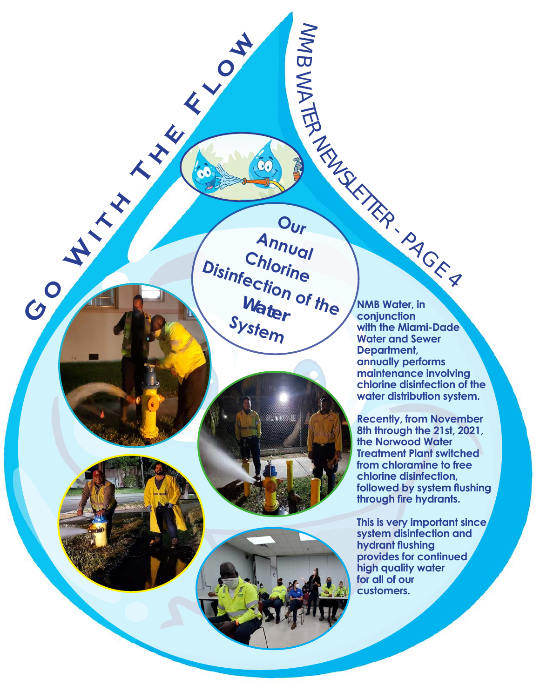NEWSLETTER **E**<br> **E**<br> **E**<br> **E**<br> **E**<br> **Disinfection of Water**<br>
Svet **Our Annual Chlorine Disinfection of the Water System**

 $\geq$ M  $\overline{\mathbf{C}}$ 

WA

TER





**NMB Water, in conjunction with the Miami-Dade Water and Sewer Department, annually performs maintenance involving chlorine disinfection of the water distribution system.**

- <sup>P</sup>AG<sup>E</sup> <sup>4</sup>

**Recently, from November 8th through the 21st, 2021, the Norwood Water Treatment Plant switched from chloramine to free chlorine disinfection, followed by system flushing through fire hydrants.** 

**This is very important since system disinfection and hydrant flushing provides for continued high quality water for all of our customers.**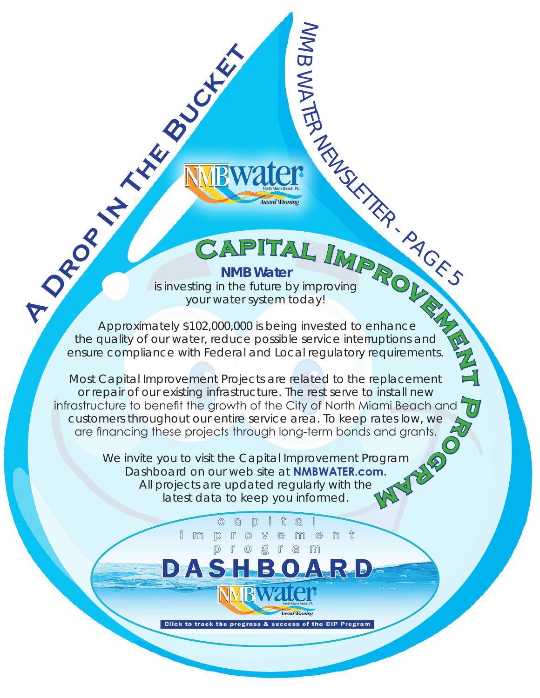**NMB Water** 

 $\geq$ M  $\overline{\mathbf{C}}$ 

WA

TER

NEWSLETTER

- PAGE 5

is investing in the future by improving your water system today!

**A DROP ITAL**<br>
A PROVIDED A DROP ITAL IN THE BUCKET SUBJECT OF A DROP ITAL IN THE BUCKET SOLUTION OF A DROP IN THE BUCKET SUBJECT OF A DROP ITAL AND A DROP ITAL ISLAM A DROP ITAL AND THE BUCKET SUBJECT OF A DROP ITAL AND A Approximately \$102,000,000 is being invested to enhance the quality of our water, reduce possible service interruptions and ensure compliance with Federal and Local regulatory requirements. **CAPITAL <b>IMP**<br>**i C**<br>**c**<br>**our water system today!**<br>**o2,000,000 is being invested to enhance**<br>er, reduce possible service interruptions and<br>h Federal and Local regulatory requirements. improving<br>
day!<br>
invested to enhance<br>
service interruptions and

Most Capital Improvement Projects are related to the replacement or repair of our existing infrastructure. The rest serve to install new infrastructure to benefit the growth of the City of North Miami Beach and customers throughout our entire service area. To keep rates low, we are financing these projects through long-term bonds and grants. **t**ach and<br>w, we<br>ants.<br>**P** 

We invite you to visit the Capital Improvement Program Dashboard on our web site at **NMBWATER.com**. All projects are updated regularly with the latest data to keep you informed. **M** 

> 化  $a$

 $\circledR$ m

a

M

 $e$ 

m

nt

 $a$  $\mathbb{D}$ 

 $\odot$ 

 $\mathbb{D}$ 

i m

 $\sqrt{\Delta}$ 

Click to track the progress & success of the CIP Program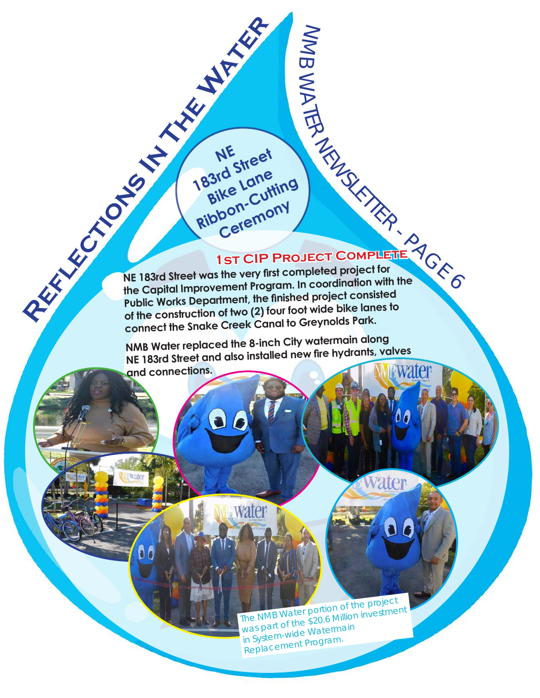## **1st CIP Project Complete 1st CIP Project**

NEWSLETTER

vater

 $\geq$ M  $\overline{\mathbf{C}}$ 

WA

TER

 $\frac{1}{\pi}$ <br> $\frac{1}{\pi}$ <br> $\frac{1}{\pi}$ **REFLECTION STREET CIP THE CAPTER OF THE CAPTER OF THE CAPTER OF THE CAPTER OF THE CAPTER OF THE CAPTER OF THE CAPTER OF THE CAPTER OF THE CAPTER OF THE CAPTER OF THE CAPTER OF THE CAPTER OF THE CAPTER OF THE CAPTER OF THE NE 183rd Street was the very first completed project for the Capital Improvement Program. In coordination with the Public Works Department, the finished project consisted of the construction of two (2) four foot wide bike lanes to connect the Snake Creek Canal to Greynolds Park.**

**NE**<br>183rd Street

**Bike** Lane **Ribbon-Cutting** 

**Ceremony** 

**NMB Water replaced the 8-inch City watermain along NE 183rd Street and also installed new fire hydrants, valves and connections.**

water

 The NMB Water portion of the projec<sup>t</sup> was part of the \$20.6 Million investment in System-wide Watermain Replacement Program.